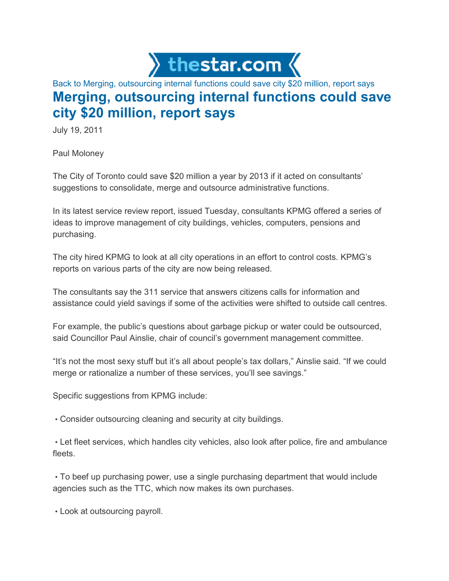

## Back to Merging, outsourcing internal functions could save city \$20 million, report says Merging, outsourcing internal functions could save city \$20 million, report says

July 19, 2011

Paul Moloney

The City of Toronto could save \$20 million a year by 2013 if it acted on consultants' suggestions to consolidate, merge and outsource administrative functions.

In its latest service review report, issued Tuesday, consultants KPMG offered a series of ideas to improve management of city buildings, vehicles, computers, pensions and purchasing.

The city hired KPMG to look at all city operations in an effort to control costs. KPMG's reports on various parts of the city are now being released.

The consultants say the 311 service that answers citizens calls for information and assistance could yield savings if some of the activities were shifted to outside call centres.

For example, the public's questions about garbage pickup or water could be outsourced, said Councillor Paul Ainslie, chair of council's government management committee.

"It's not the most sexy stuff but it's all about people's tax dollars," Ainslie said. "If we could merge or rationalize a number of these services, you'll see savings."

Specific suggestions from KPMG include:

• Consider outsourcing cleaning and security at city buildings.

• Let fleet services, which handles city vehicles, also look after police, fire and ambulance fleets.

• To beef up purchasing power, use a single purchasing department that would include agencies such as the TTC, which now makes its own purchases.

• Look at outsourcing payroll.